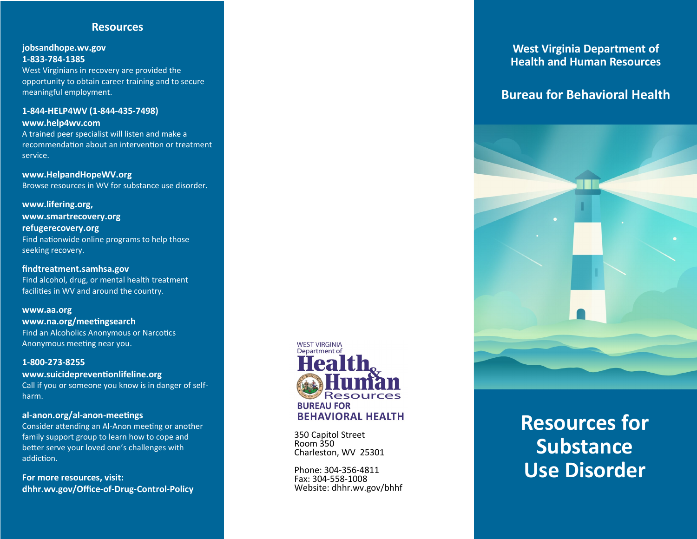## **Resources**

## **jobsandhope.wv.gov 1-833-784-1385**

West Virginians in recovery are provided the opportunity to obtain career training and to secure meaningful employment.

#### **1-844-HELP4WV (1-844-435-7498) www.help4wv.com**

A trained peer specialist will listen and make a recommendation about an intervention or treatment service.

**www.HelpandHopeWV.org** Browse resources in WV for substance use disorder.

**www.lifering.org, www.smartrecovery.org refugerecovery.org** Find nationwide online programs to help those seeking recovery.

**findtreatment.samhsa.gov** Find alcohol, drug, or mental health treatment facilities in WV and around the country.

## **www.aa.org www.na.org/meetingsearch** Find an Alcoholics Anonymous or Narcotics Anonymous meeting near you.

#### **1-800-273-8255**

### **www.suicidepreventionlifeline.org**

Call if you or someone you know is in danger of selfharm.

## **al-anon.org/al-anon-meetings**

Consider attending an Al-Anon meeting or another family support group to learn how to cope and better serve your loved one's challenges with addiction.

**For more resources, visit: dhhr.wv.gov/Office-of-Drug-Control-Policy**



350 Capitol Street Room 350 Charleston, WV 25301

Phone: 304-356-4811 Fax: 304-558-1008 Website: dhhr.wv.gov/bhhf

## **West Virginia Department of Health and Human Resources**

# **Bureau for Behavioral Health**



# **Resources for Substance Use Disorder**